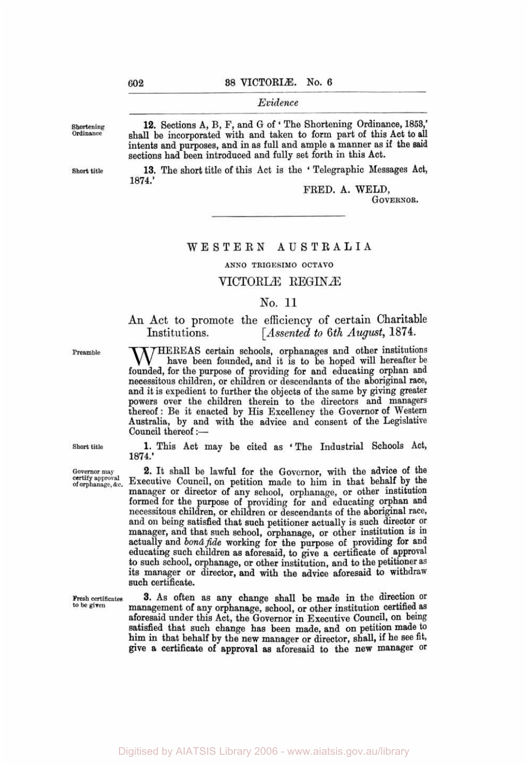*Evidence* 

12. Sections A, B, F, and G of 'The Shortening Ordinance, 1853,' shall be incorporated with and taken to form part of this Act to all intents **and** purposes, **and** in as full and ample a manner as if the said sections had been introduced and fully set forth in this Act.

13. The short title of this Act is the 'Telegraphic Messages Act, 1874.'

FRED. A. WELD,

GOVERNOR.

### WESTERN **AUSTRALIA**

#### **ANN0 TRIGESIMO** OCTAVO

### VICTORLE REGINÆ

#### No. 11

#### An Act to promote the efficiency of certain Charitable *Assented to 6th August, 1874.* Institutions.

Institutions. [Assented to 0th August, 1014.]<br>
MEREAS certain schools, orphanages and other institutions<br>
have been founded, and it is to be hoped will hereafter be<br>
founded for the purpose of providing for and educating o founded, for the purpose of providing for and educating orphan **and**  necessitous children, or children or descendants of the aboriginal race, and it is expedient to further the objects of the same by giving greater powers over the children therein to the directors and managers thereof: Be it enacted by His Excellency the Governor of Western Australia, by and with the advice and consent of the Legislative Council thereof :-

**1.** This Act may be cited as **'** The Industrial Schools Act, 1874.'

**2.** It shall be lawful for the Governor, with the advice of the Executive Council, on petition made to him in that behalf **by** the manager or director of any school, orphanage, or other institution formed for the purpose of providing for and educating orphan and necessitous children, or children or descendants of the aboriginal race, and on being satisfied that such petitioner actually is such director or manager, and that such school, orphanage, or other institution is **in**  actually and *bonâ fide* working for the purpose of providing for **and**  educating such children as aforesaid, to give **a** certificate of approval **to** such school, orphanage, or other institution, and to the petitioner as its manager or director, **and** with the **advice** aforesaid to withdraw such certificate.

**3. AS** often as any change shall be made **in** the direction **or**  management of any orphanage, school, or other institution certified as aforesaid under this Act, the Governor in Executive Council, on being satisfied that such change has been made, **and** on petition made to him in that behalf by the new manager or director, shall, if he see fit, give **a** certificate of approval as aforesaid to the new manager or

Digitised by AIATSIS Library 2006 - www.aiatsis.gov.au/library

**Short title** 

**Governor may certify approval** of **orphanage,** *&c.* 

**Fresh certificates to be given** 

**Shortening Ordinance** 

**Short title** 

**Preamble**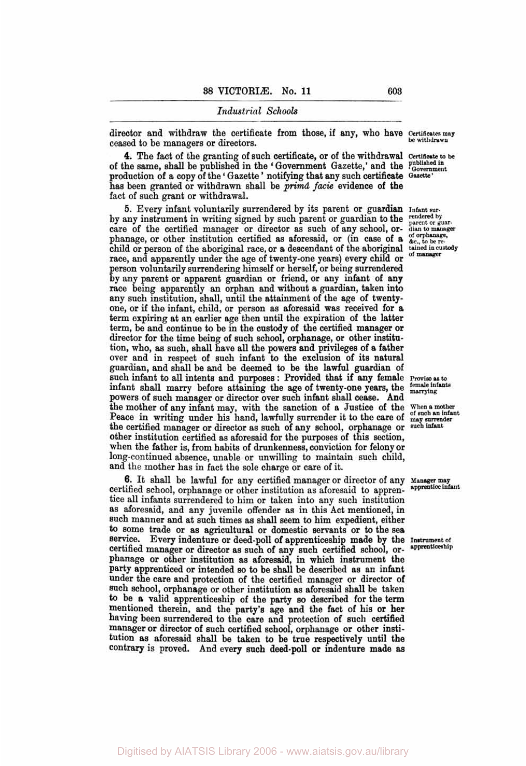director and withdraw the certificate from those, if any, who have Certificates may ceased to be managers or directors.

**4.** The fact of the granting of such certificate, or of the withdrawal Certificate to **be**  of the same, shall be published in the 'Government Gazette,' and the Published in production of a copy of the ' Gazette ' notifying that **any** such certificate **Gazette'**  has been granted or withdrawn shall be *primâ facie* evidence of the fact of such grant or withdrawal.

**5.** Every infant voluntarily surrendered by its parent or guardian **Infant sur**by any instrument in writing signed by such parent or guardian to the rendered by parent or guarcare of the certified manager or director as such of any school, or- dian to manager phanage, or other institution certified as aforesaid, or (in case of a *dc., to be re*child or person of the aboriginal race, or a descendant of the aboriginal **tained in custody**  race, and apparently under the age of twenty-one years) every child or <sup>of manager</sup> person voluntarily surrendering himself or herself, or being surrendered by **any** parent or apparent guardian or friend, or any infant of **any**  race being apparently an orphan and without a guardian, taken **into**  any such institution, shall, until the attainment of the age of twentyone, or if the infant, child, or person as aforesaid was received for **a**  term expiring at an earlier age then until the expiration of the latter term, be and continue *to* be in the custody of the certified manager or director for the time being of such school, orphanage, or other institution, who, as such, shall have all the powers and privileges of a father over and in respect of such infant to the exclusion of its natural guardian, and shall be and be deemed to be the lawful guardian of such infant to all intents and purposes : Provided that if any female **Proviso as to** infant shall marry before attaining the age of twenty-one years, the  $\frac{\text{ftt}_{\text{mantvis}}}{\text{martvinc}}$ infant shall marry before attaining the age of twenty-one years, the powers of such manager or director over such infant shall cease. And the mother of any infant may, with the sanction of a Justice of the When a mother Peace in writing under his hand, lawfully surrender it to the care of  $_{\text{mag}}^{\text{of such an infit}}$ Peace in writing under his hand, lawfully surrender it to the care of <sub>may surrender</sub> the certified manager or director as such of any school, orphanage or such infant other institution certified as aforesaid for the purposes of this section, when the father is, from habits of drunkenness, conviction for felony or long-continued absence, unable or unwilling to maintain such child, and the mother has in fact the sole charge or care of it.

certified school, orphanage or other institution as aforesaid to apprentice all infants surrendered to him or taken into any such institution as aforesaid, and any juvenile offender as in this Act mentioned, in such manner and at such times as shall seem *to* him expedient, either to some trade or as agricultural or domestic servants or to the sea service. Every indenture or deed-poll of apprenticeship made by the Instrument of certified manager or director as such of any such certified school or apprenticeship certified manager or director as such of any such certified school, or- **apprenticeship**  phanage or other institution as aforesaid, in which instrument the party apprenticed or intended so to be shall be described as an infant under the care and protection of the certified manager or director of such school, orphanage or other institution as aforesaid shall be taken to be a valid apprenticeship of the party so described for the **term**  mentioned therein, and the party's age and the fact of his or her having been surrendered to the care and protection of such certified manager or director of such certified school, orphanage or other institution as aforesaid shall be taken to be true respectively until the contrary is proved. And every such deed-poll or indenture made as **6.** It shall be lawful for any certified manager or director of any **Manager may apprentice infant** 

**be withdrawn**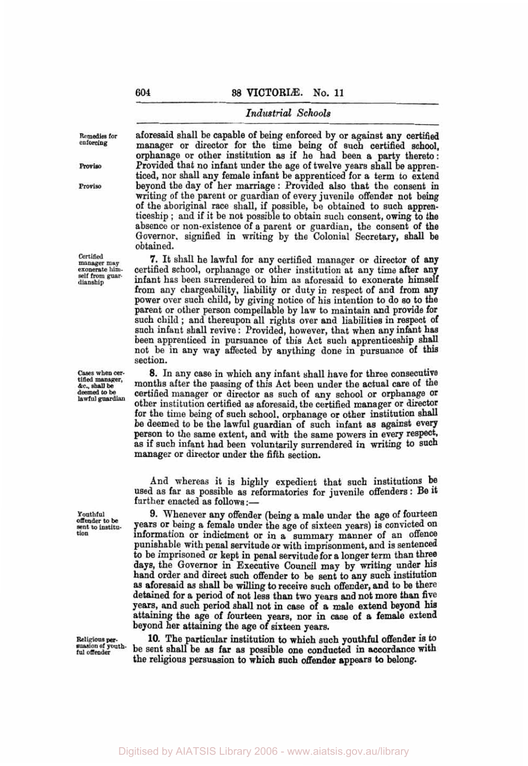**Remedies for enforcing** 

Proviso

**Proviso** 

**Certified manager may exonerate himself from guar - dianship** 

**Cases when cer- tided manager,**  *&c.,* **shall be ed to be lawful guardian** 

**Youthful offender to be sent to institution** 

**Religious per- suasion** *of* **youth**ful offende

aforesaid shall be capable of being enforced by or against any certified manager or director for the time being of such certified school, orphanage or other institution **as** if he had been a party thereto: Provided that no infant under the age of twelve years shall be apprenticed, nor shall any female infant be apprenticed for a term to extend beyond the day of her marriage : Provided also that the consent in writing of the parent or guardian of every juvenile offender not being of the aboriginal race shall, if possible, be obtained to such apprenticeship ; and if it be not possible to obtain such consent, owing to the absence or non-existence of a parent or guardian, the consent of the Governor, signified in writing by the Colonial Secretary, shall be obtained.

**7.** It shall he lawful for any certified manager or director of **any**  certified school, orphanage or other institution at any time after any infant has been surrendered to him as aforesaid to exonerate himself from any chargeability, liability or duty in respect of and from **any**  power over such child, by giving notice of his intention to do so to the parent or other person compellable by law to maintain and provide for such child ; and thereupon all rights over and liabilities in respect of such infant shall revive : Provided, however, that when **any** infant has been apprenticed in pursuance of this Act such apprenticeship shall not be in any way affected by anything done in pursuance **of** this section.

**8. In** any case in which any infant shall have for three consecutive months after the passing of this Act been under the actual care of the certified manager or director **as** such of any school or orphanage Or other institution certified as aforesaid, the certified manager or director for the time being of such school, orphanage or other institution shall be deemed to be the lawful guardian of such infant as against every person to the same extent, and with the same powers in every respect, as if such infant had been voluntarily surrendered in writing to such manager or director under the fifth section.

And whereas it is highly expedient that such institutions be used as far as possible as reformatories for juvenile offenders : Be it further enacted as follows :-

**9.** Whenever any offender (being a male under the age of fourteen years or being a female under the age of sixteen years) is convicted on information or indictment or in a summary manner of an offence punishable with penal servitude or with imprisonment, and is sentenced to be imprisoned or kept in penal servitude for **a** longer term than three days, the Governor in Executive Council may by writing under his hand order and direct such offender to be sent to **any** such institution **as** aforesaid **as** shall be willing to receive such offender, and to be there detained for a period of not less than two years and not more than five years, and such period shall not in case of **a** male extend beyond attaining the age of fourteen years, **nor** in case of a female extend beyond her attaining the age of sixteen years.

**10.** The particular institution to which such **youthful** offender is to be sent shall be **as** far **as** possible one conducted in accordance with the religious persuasion to which such offender appears to belong.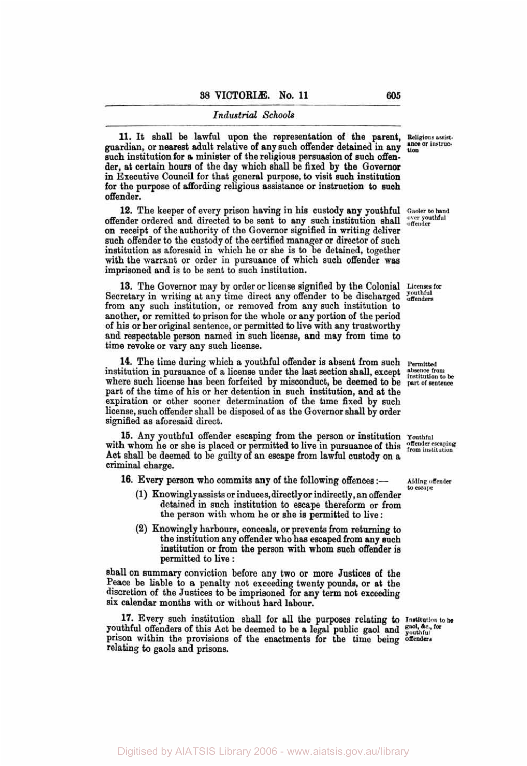**11.** It shall be lawful upon the representation of the parent, Religious assist-<br>guardian, or nearest adult relative of any such offender detained in any <sup>ance or instruc-</sub></sup> such institution for **a** minister of the religious persuasion of such offender, at certain hours of the day which shall be fixed by the Governor in Executive Council for that general purpose, to visit such institution for the purpose of affording religious assistance or instruction to such offender.

offender ordered and directed to be sent to any such institution shall offender **on** receipt of the authority of the Governor signified in writing deliver such offender to the custody of the certified manager or director of such institution as aforesaid in which he or she is to be detained, together with the warrant or order in pursuance of which such offender was imprisoned and is to be sent to such institution. **12.** The keeper of every prison having in his custody any youthful **Gaoler to hand** 

**13.** The Governor may by order or license signified by the Colonial Secretary in writing at any time direct any offender to be discharged *southful* from any such institution, or removed from **any** such institution to another, or remitted *to* prison for the whole or any portion of the period of his or her original sentence, or permitted to live with any trustworthy and respectable person named in such license, and may from time to time revoke or vary any such license.

**14.** The time during which a youthful offender is absent from such **Permitted** intuition in pursuance of a license under the last section shall, except **properties** institution in pursuance of a license under the last section shall, except where such license has been forfeited by misconduct, be deemed to be **part of sentence**  part of the time of his or her detention in such institution, and at the expiration or other sooner determination of the time fixed by such license, such offender shall be disposed of as the Governor shall by order signified as aforesaid direct.

with whom he or she is placed or permitted to live in pursuance of this offender escaping with whom he or she is placed or permitted to live in pursuance of this offender escaping Act shall be deemed to be guilty of **an** escape from lawful custody on a criminal charge. **15. Any** youthful offender escaping from **the** person or institution **Youthful** 

**16.** Every person who commits any of the following offences

- $(1)$  Knowingly assists or induces, directly or indirectly, an offender detained in such institution to escape thereform or from the person with whom he or she is permitted to live :
- **(2)** Knowingly harbours, conceals, or prevents from returning to the institution any offender who has escaped from **any** such institution or from the person with whom such offender is permitted to live :

shall **on** summary conviction before **any** two or more Justices of the Peace be liable to a penalty not exceeding twenty pounds, or at the discretion of the Justices to be imprisoned for any term not exceeding six calendar months with or without hard labour.

youthful offenders of this Act be deemed to be a legal public gaol and guol, sec., for prison within the provisions of the enactments for the time being **offenders**  relating to gaols and prisons. **17.** Every such institution shall for all the purposes relating to **institution to be** *for* 

Licenses for

**Aiding offender**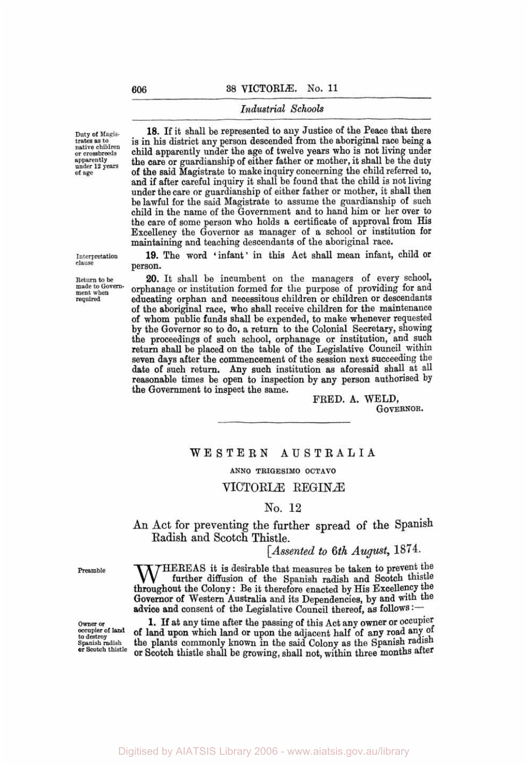**Duty of** Magis. trates **as to native children or crossbreeds apparently under 12 years of age** 

**18.** If it shall be represented to any Justice of the Peace that there is in his district any person descended from the aboriginal race being a child apparently under the age of twelve years who is not living under the care or guardianship of either father or mother, it shall be the duty **of** the said Magistrate to make inquiry concerning the child referred *to,*  and if after careful inquiry it shall be found that the child is not living under the care or guardianship of either father or mother, it shall then be lawful for the said Magistrate to assume the guardianship of such child in the name of the Government and to hand him or her over to the care of some person who holds *a* certificate of approval from **His**  Excellency the Governor as manager of a school or institution for maintaining and teaching descendants of the aboriginal race.

19. The word 'infant' in this Act shall mean infant, child or person.

**20.** It shall be incumbent on the managers of every school, orphanage or institution formed for the purpose of providing for and educating orphan and necessitous children or children or descendants of the aboriginal race, who shall receive children for the maintenance of whom public funds shall be expended, to make whenever requested by the Governor so to do, a return to the Colonial Secretary, showing the proceedings of such school, orphanage or institution, and such return shall be placed on the table of the Legislative Council within seven days after the commencement of the session next succeeding the date **of** such return. **Any** such institution **as** aforesaid shall at all reasonable times be open to inspection by **any** person authorised by the Government to inspect the same.

FRED. A. WELD, GOVERNOR.

# WESTERN **AUSTRALIA**

### **ANN0 TRIGESIMO OCTAVO**

### VICTORIÆ REGINÆ

#### No. **12**

**An** Act for preventing the further spread of the Spanish Radish and Scotch Thistle.

*[Assented to 6th August,* 1874.

 $JHEREAS$  it is desirable that measures be taken to prevent the further diffusion of the Spanish radish and Scotch thistle throughout the Colony : Be it therefore enacted by His Excellency the Governor of Western Australia and its Dependencies, by and with the advice and consent of the Legislative Council thereof, as follows :-

**1.** If at any time after the passing of this Act any **owner** or occupier of **land upon** which land or upon the adjacent half of **any** road of the plants commonly known in the said Colony as the Spanish radish or Scotch thistle shall be growing, shall not, within three months after

## **Interpretation clause**

**Return to be made** *to* **Govern- ment when required** 

**Preamble** 

**owner or occupier of** land **to destroy Spanish radish or** Scotch **thistle**